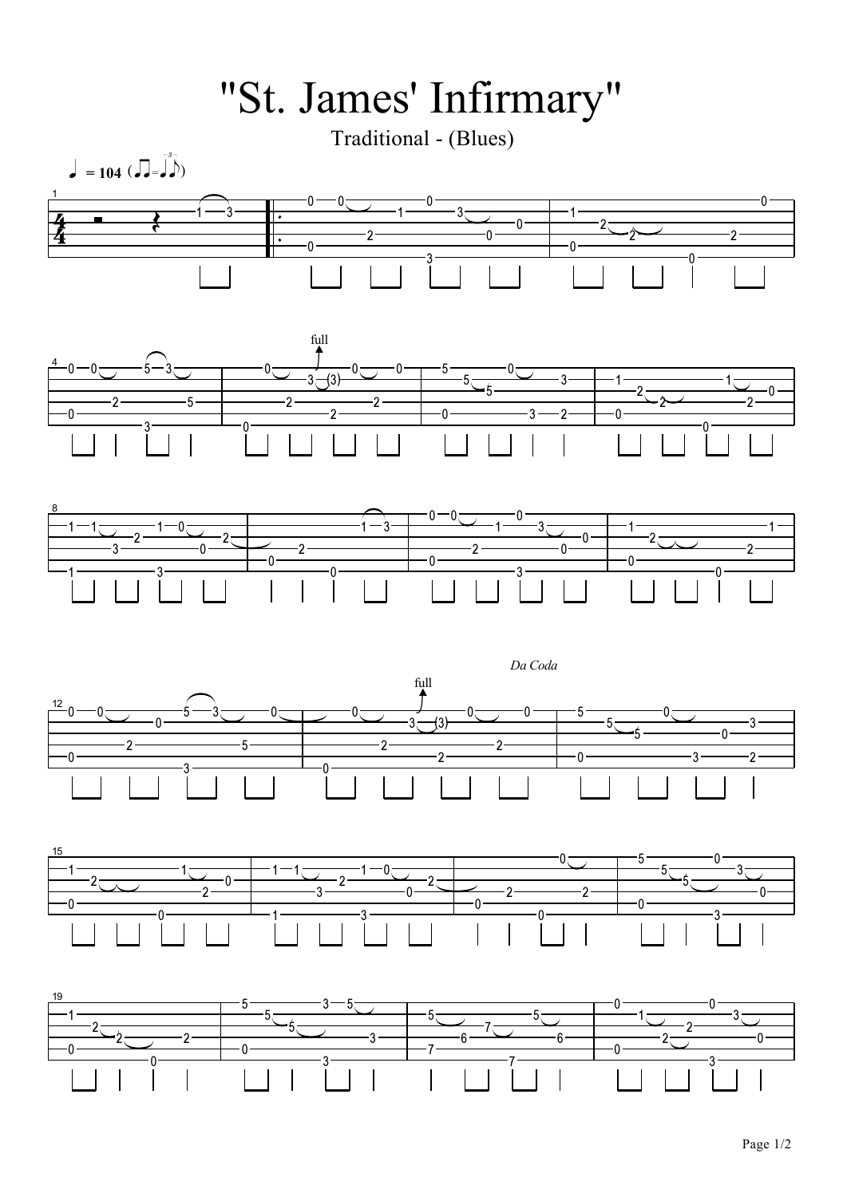